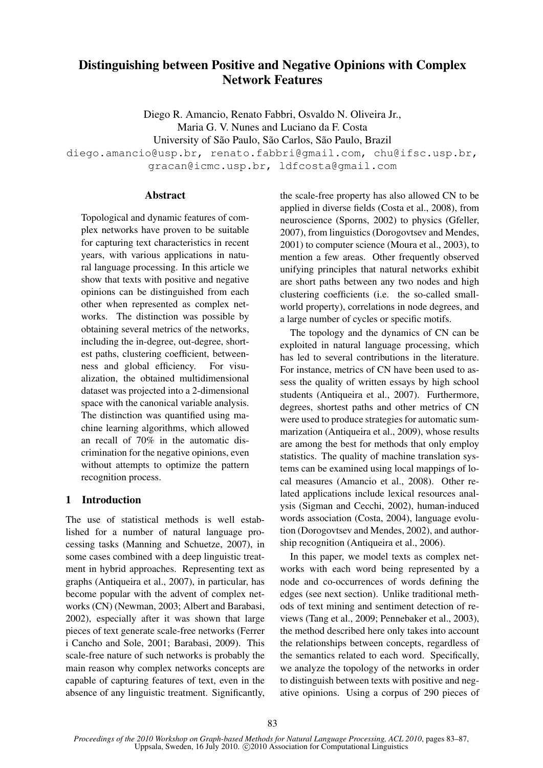# Distinguishing between Positive and Negative Opinions with Complex Network Features

Diego R. Amancio, Renato Fabbri, Osvaldo N. Oliveira Jr., Maria G. V. Nunes and Luciano da F. Costa University of São Paulo, São Carlos, São Paulo, Brazil

diego.amancio@usp.br, renato.fabbri@gmail.com, chu@ifsc.usp.br, gracan@icmc.usp.br, ldfcosta@gmail.com

#### Abstract

Topological and dynamic features of complex networks have proven to be suitable for capturing text characteristics in recent years, with various applications in natural language processing. In this article we show that texts with positive and negative opinions can be distinguished from each other when represented as complex networks. The distinction was possible by obtaining several metrics of the networks, including the in-degree, out-degree, shortest paths, clustering coefficient, betweenness and global efficiency. For visualization, the obtained multidimensional dataset was projected into a 2-dimensional space with the canonical variable analysis. The distinction was quantified using machine learning algorithms, which allowed an recall of 70% in the automatic discrimination for the negative opinions, even without attempts to optimize the pattern recognition process.

### 1 Introduction

The use of statistical methods is well established for a number of natural language processing tasks (Manning and Schuetze, 2007), in some cases combined with a deep linguistic treatment in hybrid approaches. Representing text as graphs (Antiqueira et al., 2007), in particular, has become popular with the advent of complex networks (CN) (Newman, 2003; Albert and Barabasi, 2002), especially after it was shown that large pieces of text generate scale-free networks (Ferrer i Cancho and Sole, 2001; Barabasi, 2009). This scale-free nature of such networks is probably the main reason why complex networks concepts are capable of capturing features of text, even in the absence of any linguistic treatment. Significantly, the scale-free property has also allowed CN to be applied in diverse fields (Costa et al., 2008), from neuroscience (Sporns, 2002) to physics (Gfeller, 2007), from linguistics (Dorogovtsev and Mendes, 2001) to computer science (Moura et al., 2003), to mention a few areas. Other frequently observed unifying principles that natural networks exhibit are short paths between any two nodes and high clustering coefficients (i.e. the so-called smallworld property), correlations in node degrees, and a large number of cycles or specific motifs.

The topology and the dynamics of CN can be exploited in natural language processing, which has led to several contributions in the literature. For instance, metrics of CN have been used to assess the quality of written essays by high school students (Antiqueira et al., 2007). Furthermore, degrees, shortest paths and other metrics of CN were used to produce strategies for automatic summarization (Antiqueira et al., 2009), whose results are among the best for methods that only employ statistics. The quality of machine translation systems can be examined using local mappings of local measures (Amancio et al., 2008). Other related applications include lexical resources analysis (Sigman and Cecchi, 2002), human-induced words association (Costa, 2004), language evolution (Dorogovtsev and Mendes, 2002), and authorship recognition (Antiqueira et al., 2006).

In this paper, we model texts as complex networks with each word being represented by a node and co-occurrences of words defining the edges (see next section). Unlike traditional methods of text mining and sentiment detection of reviews (Tang et al., 2009; Pennebaker et al., 2003), the method described here only takes into account the relationships between concepts, regardless of the semantics related to each word. Specifically, we analyze the topology of the networks in order to distinguish between texts with positive and negative opinions. Using a corpus of 290 pieces of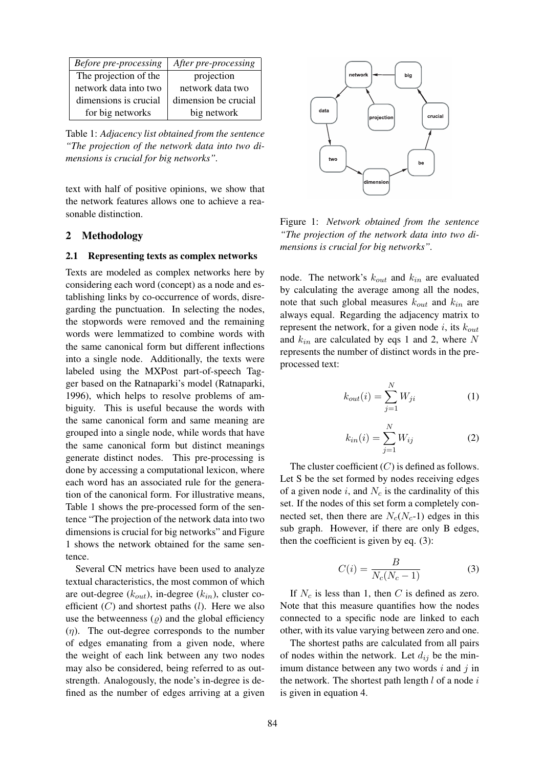| Before pre-processing | After pre-processing |
|-----------------------|----------------------|
| The projection of the | projection           |
| network data into two | network data two     |
| dimensions is crucial | dimension be crucial |
| for big networks      | big network          |

Table 1: *Adjacency list obtained from the sentence "The projection of the network data into two dimensions is crucial for big networks".*

text with half of positive opinions, we show that the network features allows one to achieve a reasonable distinction.

## 2 Methodology

#### 2.1 Representing texts as complex networks

Texts are modeled as complex networks here by considering each word (concept) as a node and establishing links by co-occurrence of words, disregarding the punctuation. In selecting the nodes, the stopwords were removed and the remaining words were lemmatized to combine words with the same canonical form but different inflections into a single node. Additionally, the texts were labeled using the MXPost part-of-speech Tagger based on the Ratnaparki's model (Ratnaparki, 1996), which helps to resolve problems of ambiguity. This is useful because the words with the same canonical form and same meaning are grouped into a single node, while words that have the same canonical form but distinct meanings generate distinct nodes. This pre-processing is done by accessing a computational lexicon, where each word has an associated rule for the generation of the canonical form. For illustrative means, Table 1 shows the pre-processed form of the sentence "The projection of the network data into two dimensions is crucial for big networks" and Figure 1 shows the network obtained for the same sentence.

Several CN metrics have been used to analyze textual characteristics, the most common of which are out-degree (*kout*), in-degree (*kin*), cluster coefficient (*C*) and shortest paths (*l*). Here we also use the betweenness  $(\rho)$  and the global efficiency (*η*). The out-degree corresponds to the number of edges emanating from a given node, where the weight of each link between any two nodes may also be considered, being referred to as outstrength. Analogously, the node's in-degree is defined as the number of edges arriving at a given



Figure 1: *Network obtained from the sentence "The projection of the network data into two dimensions is crucial for big networks".*

node. The network's *kout* and *kin* are evaluated by calculating the average among all the nodes, note that such global measures *kout* and *kin* are always equal. Regarding the adjacency matrix to represent the network, for a given node *i*, its *kout* and *kin* are calculated by eqs 1 and 2, where *N* represents the number of distinct words in the preprocessed text:

$$
k_{out}(i) = \sum_{j=1}^{N} W_{ji}
$$
\n(1)

$$
k_{in}(i) = \sum_{j=1}^{N} W_{ij}
$$
 (2)

The cluster coefficient (*C*) is defined as follows. Let S be the set formed by nodes receiving edges of a given node *i*, and *N<sup>c</sup>* is the cardinality of this set. If the nodes of this set form a completely connected set, then there are  $N_c(N_c-1)$  edges in this sub graph. However, if there are only B edges, then the coefficient is given by eq. (3):

$$
C(i) = \frac{B}{N_c(N_c - 1)}\tag{3}
$$

If  $N_c$  is less than 1, then *C* is defined as zero. Note that this measure quantifies how the nodes connected to a specific node are linked to each other, with its value varying between zero and one.

The shortest paths are calculated from all pairs of nodes within the network. Let  $d_{ij}$  be the minimum distance between any two words *i* and *j* in the network. The shortest path length *l* of a node *i* is given in equation 4.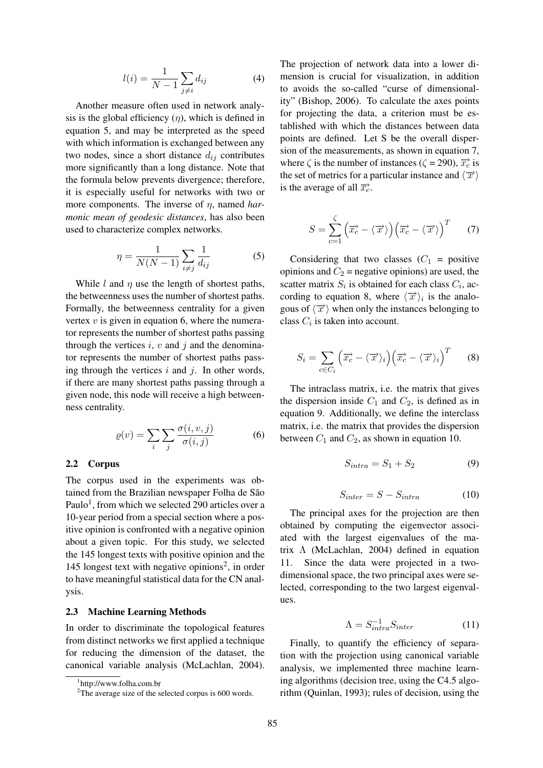$$
l(i) = \frac{1}{N-1} \sum_{j \neq i} d_{ij} \tag{4}
$$

Another measure often used in network analysis is the global efficiency  $(\eta)$ , which is defined in equation 5, and may be interpreted as the speed with which information is exchanged between any two nodes, since a short distance  $d_{ij}$  contributes more significantly than a long distance. Note that the formula below prevents divergence; therefore, it is especially useful for networks with two or more components. The inverse of *η*, named *harmonic mean of geodesic distances*, has also been used to characterize complex networks.

$$
\eta = \frac{1}{N(N-1)} \sum_{i \neq j} \frac{1}{d_{ij}} \tag{5}
$$

While *l* and  $\eta$  use the length of shortest paths, the betweenness uses the number of shortest paths. Formally, the betweenness centrality for a given vertex  $v$  is given in equation 6, where the numerator represents the number of shortest paths passing through the vertices  $i, v$  and  $j$  and the denominator represents the number of shortest paths passing through the vertices *i* and *j*. In other words, if there are many shortest paths passing through a given node, this node will receive a high betweenness centrality.

$$
\varrho(v) = \sum_{i} \sum_{j} \frac{\sigma(i, v, j)}{\sigma(i, j)} \tag{6}
$$

#### 2.2 Corpus

The corpus used in the experiments was obtained from the Brazilian newspaper Folha de São Paulo<sup>1</sup>, from which we selected 290 articles over a 10-year period from a special section where a positive opinion is confronted with a negative opinion about a given topic. For this study, we selected the 145 longest texts with positive opinion and the 145 longest text with negative opinions<sup>2</sup>, in order to have meaningful statistical data for the CN analysis.

#### 2.3 Machine Learning Methods

In order to discriminate the topological features from distinct networks we first applied a technique for reducing the dimension of the dataset, the canonical variable analysis (McLachlan, 2004).

The projection of network data into a lower dimension is crucial for visualization, in addition to avoids the so-called "curse of dimensionality" (Bishop, 2006). To calculate the axes points for projecting the data, a criterion must be established with which the distances between data points are defined. Let S be the overall dispersion of the measurements, as shown in equation 7, where  $\zeta$  is the number of instances ( $\zeta = 290$ ),  $\overrightarrow{x_c}$  is the set of metrics for a particular instance and  $\langle \overrightarrow{x} \rangle$ is the average of all  $\overrightarrow{x_c}$ .

$$
S = \sum_{c=1}^{\zeta} \left( \overrightarrow{x_c} - \langle \overrightarrow{x} \rangle \right) \left( \overrightarrow{x_c} - \langle \overrightarrow{x} \rangle \right)^T \qquad (7)
$$

Considering that two classes  $(C_1 = \text{positive})$ opinions and  $C_2$  = negative opinions) are used, the scatter matrix  $S_i$  is obtained for each class  $C_i$ , according to equation 8, where  $\langle \overrightarrow{x} \rangle_i$  is the analogous of  $\langle \overrightarrow{x} \rangle$  when only the instances belonging to class  $C_i$  is taken into account.

$$
S_i = \sum_{c \in C_i} \left( \overrightarrow{x_c} - \langle \overrightarrow{x} \rangle_i \right) \left( \overrightarrow{x_c} - \langle \overrightarrow{x} \rangle_i \right)^T \qquad (8)
$$

The intraclass matrix, i.e. the matrix that gives the dispersion inside  $C_1$  and  $C_2$ , is defined as in equation 9. Additionally, we define the interclass matrix, i.e. the matrix that provides the dispersion between  $C_1$  and  $C_2$ , as shown in equation 10.

$$
S_{intra} = S_1 + S_2 \tag{9}
$$

$$
S_{inter} = S - S_{intra} \tag{10}
$$

The principal axes for the projection are then obtained by computing the eigenvector associated with the largest eigenvalues of the matrix Λ (McLachlan, 2004) defined in equation 11. Since the data were projected in a twodimensional space, the two principal axes were selected, corresponding to the two largest eigenvalues.

$$
\Lambda = S_{intra}^{-1} S_{inter}
$$
 (11)

Finally, to quantify the efficiency of separation with the projection using canonical variable analysis, we implemented three machine learning algorithms (decision tree, using the C4.5 algorithm (Quinlan, 1993); rules of decision, using the

<sup>1</sup> http://www.folha.com.br

<sup>&</sup>lt;sup>2</sup>The average size of the selected corpus is 600 words.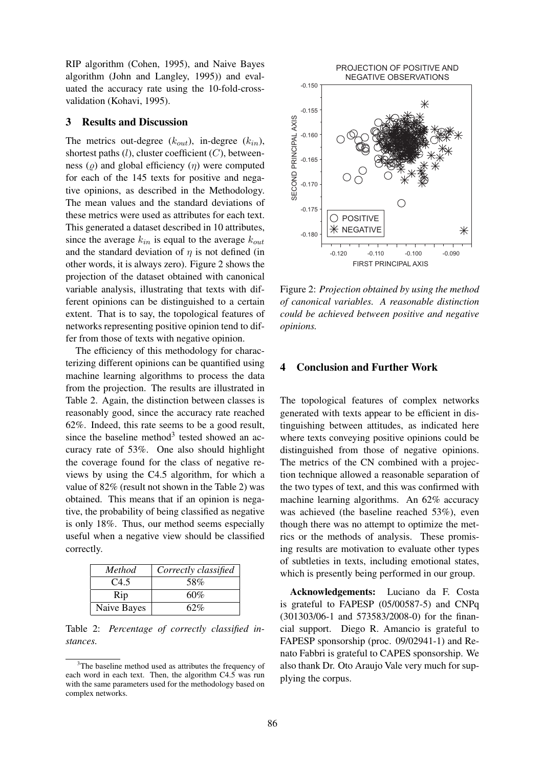RIP algorithm (Cohen, 1995), and Naive Bayes algorithm (John and Langley, 1995)) and evaluated the accuracy rate using the 10-fold-crossvalidation (Kohavi, 1995).

#### 3 Results and Discussion

The metrics out-degree  $(k_{out})$ , in-degree  $(k_{in})$ , shortest paths (*l*), cluster coefficient (*C*), betweenness (*ϱ*) and global efficiency (*η*) were computed for each of the 145 texts for positive and negative opinions, as described in the Methodology. The mean values and the standard deviations of these metrics were used as attributes for each text. This generated a dataset described in 10 attributes, since the average  $k_{in}$  is equal to the average  $k_{out}$ and the standard deviation of  $\eta$  is not defined (in other words, it is always zero). Figure 2 shows the projection of the dataset obtained with canonical variable analysis, illustrating that texts with different opinions can be distinguished to a certain extent. That is to say, the topological features of networks representing positive opinion tend to differ from those of texts with negative opinion.

The efficiency of this methodology for characterizing different opinions can be quantified using machine learning algorithms to process the data from the projection. The results are illustrated in Table 2. Again, the distinction between classes is reasonably good, since the accuracy rate reached 62%. Indeed, this rate seems to be a good result, since the baseline method<sup>3</sup> tested showed an accuracy rate of 53%. One also should highlight the coverage found for the class of negative reviews by using the C4.5 algorithm, for which a value of 82% (result not shown in the Table 2) was obtained. This means that if an opinion is negative, the probability of being classified as negative is only 18%. Thus, our method seems especially useful when a negative view should be classified correctly.

| Method      | Correctly classified |
|-------------|----------------------|
| C4.5        | 58%                  |
| Rip         | 60%                  |
| Naive Bayes | 62%                  |

Table 2: *Percentage of correctly classified instances.*



Figure 2: *Projection obtained by using the method of canonical variables. A reasonable distinction could be achieved between positive and negative opinions.*

## 4 Conclusion and Further Work

The topological features of complex networks generated with texts appear to be efficient in distinguishing between attitudes, as indicated here where texts conveying positive opinions could be distinguished from those of negative opinions. The metrics of the CN combined with a projection technique allowed a reasonable separation of the two types of text, and this was confirmed with machine learning algorithms. An 62% accuracy was achieved (the baseline reached 53%), even though there was no attempt to optimize the metrics or the methods of analysis. These promising results are motivation to evaluate other types of subtleties in texts, including emotional states, which is presently being performed in our group.

Acknowledgements: Luciano da F. Costa is grateful to FAPESP (05/00587-5) and CNPq (301303/06-1 and 573583/2008-0) for the financial support. Diego R. Amancio is grateful to FAPESP sponsorship (proc. 09/02941-1) and Renato Fabbri is grateful to CAPES sponsorship. We also thank Dr. Oto Araujo Vale very much for supplying the corpus.

<sup>&</sup>lt;sup>3</sup>The baseline method used as attributes the frequency of each word in each text. Then, the algorithm C4.5 was run with the same parameters used for the methodology based on complex networks.